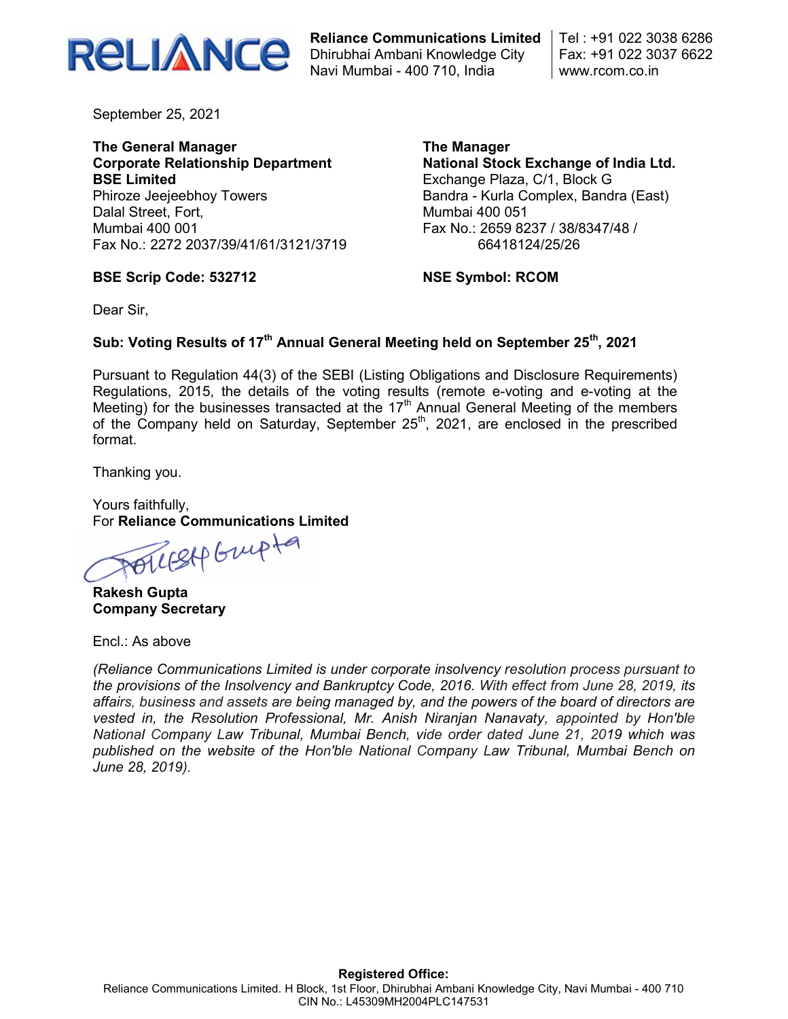

Reliance Communications Limited Dhirubhai Ambani Knowledge City Navi Mumbai - 400 710, India

Tel : +91 022 3038 6286 Fax: +91 022 3037 6622 www.rcom.co.in

September 25, 2021

The General Manager Corporate Relationship Department BSE Limited Phiroze Jeejeebhoy Towers Dalal Street, Fort, Mumbai 400 001 Fax No.: 2272 2037/39/41/61/3121/3719 The Manager National Stock Exchange of India Ltd. Exchange Plaza, C/1, Block G Bandra - Kurla Complex, Bandra (East) Mumbai 400 051 Fax No.: 2659 8237 / 38/8347/48 / 66418124/25/26

#### BSE Scrip Code: 532712

NSE Symbol: RCOM

Dear Sir,

### Sub: Voting Results of 17<sup>th</sup> Annual General Meeting held on September 25<sup>th</sup>, 2021

Pursuant to Regulation 44(3) of the SEBI (Listing Obligations and Disclosure Requirements) Regulations, 2015, the details of the voting results (remote e-voting and e-voting at the Meeting) for the businesses transacted at the  $17<sup>th</sup>$  Annual General Meeting of the members of the Company held on Saturday, September  $25<sup>th</sup>$ , 2021, are enclosed in the prescribed format.

Thanking you.

Yours faithfully, For Reliance Communications Limited

POLLESAP Grupta

Rakesh Gupta Company Secretary

Encl.: As above

(Reliance Communications Limited is under corporate insolvency resolution process pursuant to the provisions of the Insolvency and Bankruptcy Code, 2016. With effect from June 28, 2019, its affairs, business and assets are being managed by, and the powers of the board of directors are vested in, the Resolution Professional, Mr. Anish Niranjan Nanavaty, appointed by Hon'ble National Company Law Tribunal, Mumbai Bench, vide order dated June 21, 2019 which was published on the website of the Hon'ble National Company Law Tribunal, Mumbai Bench on June 28, 2019).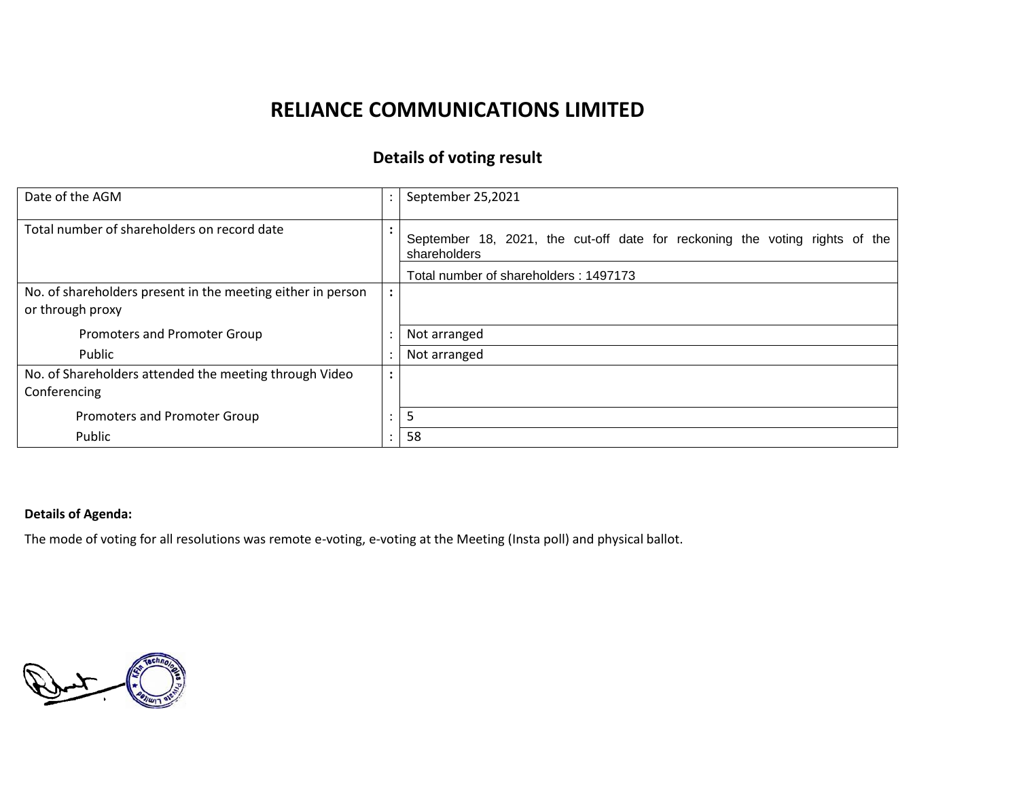# **RELIANCE COMMUNICATIONS LIMITED**

## **Details of voting result**

| Date of the AGM                                             |           | September 25,2021                                                                           |
|-------------------------------------------------------------|-----------|---------------------------------------------------------------------------------------------|
| Total number of shareholders on record date                 |           | September 18, 2021, the cut-off date for reckoning the voting rights of the<br>shareholders |
|                                                             |           | Total number of shareholders: 1497173                                                       |
| No. of shareholders present in the meeting either in person |           |                                                                                             |
| or through proxy                                            |           |                                                                                             |
| Promoters and Promoter Group                                |           | Not arranged                                                                                |
| Public                                                      |           | Not arranged                                                                                |
| No. of Shareholders attended the meeting through Video      | $\bullet$ |                                                                                             |
| Conferencing                                                |           |                                                                                             |
| Promoters and Promoter Group                                |           | 5                                                                                           |
| Public                                                      |           | 58                                                                                          |

### **Details of Agenda:**

The mode of voting for all resolutions was remote e-voting, e-voting at the Meeting (Insta poll) and physical ballot.

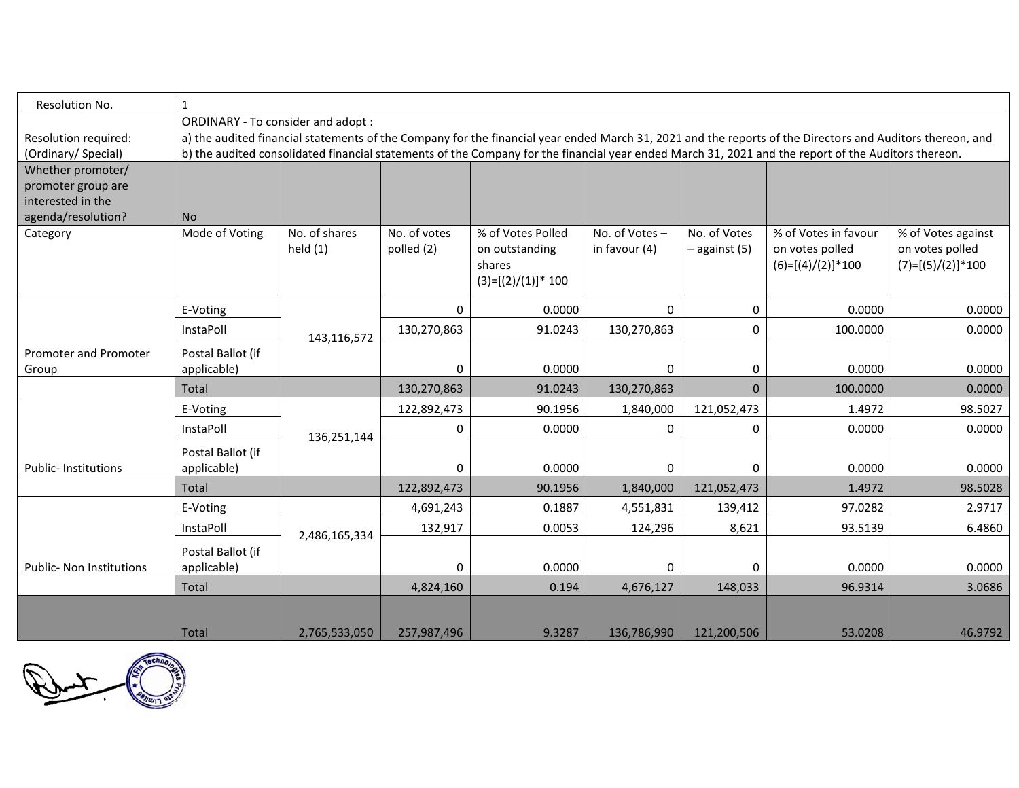| Resolution No.                          | $\mathbf{1}$                                                                                                                                                                                   |                             |                            |                                                                        |                                |                                 |                                                                |                                                              |  |  |  |
|-----------------------------------------|------------------------------------------------------------------------------------------------------------------------------------------------------------------------------------------------|-----------------------------|----------------------------|------------------------------------------------------------------------|--------------------------------|---------------------------------|----------------------------------------------------------------|--------------------------------------------------------------|--|--|--|
| Resolution required:                    | ORDINARY - To consider and adopt:<br>a) the audited financial statements of the Company for the financial year ended March 31, 2021 and the reports of the Directors and Auditors thereon, and |                             |                            |                                                                        |                                |                                 |                                                                |                                                              |  |  |  |
| (Ordinary/ Special)                     | b) the audited consolidated financial statements of the Company for the financial year ended March 31, 2021 and the report of the Auditors thereon.                                            |                             |                            |                                                                        |                                |                                 |                                                                |                                                              |  |  |  |
| Whether promoter/                       |                                                                                                                                                                                                |                             |                            |                                                                        |                                |                                 |                                                                |                                                              |  |  |  |
| promoter group are<br>interested in the |                                                                                                                                                                                                |                             |                            |                                                                        |                                |                                 |                                                                |                                                              |  |  |  |
| agenda/resolution?                      | <b>No</b>                                                                                                                                                                                      |                             |                            |                                                                        |                                |                                 |                                                                |                                                              |  |  |  |
| Category                                | Mode of Voting                                                                                                                                                                                 | No. of shares<br>held $(1)$ | No. of votes<br>polled (2) | % of Votes Polled<br>on outstanding<br>shares<br>$(3)=[(2)/(1)]$ * 100 | No. of Votes-<br>in favour (4) | No. of Votes<br>$-$ against (5) | % of Votes in favour<br>on votes polled<br>$(6)=[(4)/(2)]*100$ | % of Votes against<br>on votes polled<br>$(7)=[(5)/(2)]*100$ |  |  |  |
|                                         | E-Voting                                                                                                                                                                                       | 143,116,572                 | 0                          | 0.0000                                                                 | $\Omega$                       | 0                               | 0.0000                                                         | 0.0000                                                       |  |  |  |
|                                         | InstaPoll                                                                                                                                                                                      |                             | 130,270,863                | 91.0243                                                                | 130,270,863                    | 0                               | 100.0000                                                       | 0.0000                                                       |  |  |  |
| Promoter and Promoter                   | Postal Ballot (if                                                                                                                                                                              |                             |                            |                                                                        |                                |                                 |                                                                |                                                              |  |  |  |
| Group                                   | applicable)                                                                                                                                                                                    |                             | 0                          | 0.0000                                                                 | 0                              | 0                               | 0.0000                                                         | 0.0000                                                       |  |  |  |
|                                         | Total                                                                                                                                                                                          |                             | 130,270,863                | 91.0243                                                                | 130,270,863                    | $\mathbf 0$                     | 100.0000                                                       | 0.0000                                                       |  |  |  |
|                                         | E-Voting                                                                                                                                                                                       | 136,251,144                 | 122,892,473                | 90.1956                                                                | 1,840,000                      | 121,052,473                     | 1.4972                                                         | 98.5027                                                      |  |  |  |
| <b>Public-Institutions</b>              | InstaPoll                                                                                                                                                                                      |                             | 0                          | 0.0000                                                                 | 0                              | 0                               | 0.0000                                                         | 0.0000                                                       |  |  |  |
|                                         | Postal Ballot (if<br>applicable)                                                                                                                                                               |                             | 0                          | 0.0000                                                                 | 0                              | 0                               | 0.0000                                                         | 0.0000                                                       |  |  |  |
|                                         | Total                                                                                                                                                                                          |                             | 122,892,473                | 90.1956                                                                | 1,840,000                      | 121,052,473                     | 1.4972                                                         | 98.5028                                                      |  |  |  |
|                                         | E-Voting                                                                                                                                                                                       |                             | 4,691,243                  | 0.1887                                                                 | 4,551,831                      | 139,412                         | 97.0282                                                        | 2.9717                                                       |  |  |  |
|                                         | InstaPoll                                                                                                                                                                                      | 2,486,165,334               | 132,917                    | 0.0053                                                                 | 124,296                        | 8,621                           | 93.5139                                                        | 6.4860                                                       |  |  |  |
| <b>Public- Non Institutions</b>         | Postal Ballot (if<br>applicable)                                                                                                                                                               |                             | 0                          | 0.0000                                                                 | 0                              | 0                               | 0.0000                                                         | 0.0000                                                       |  |  |  |
|                                         | Total                                                                                                                                                                                          |                             | 4,824,160                  | 0.194                                                                  | 4,676,127                      | 148,033                         | 96.9314                                                        | 3.0686                                                       |  |  |  |
|                                         | Total                                                                                                                                                                                          | 2,765,533,050               | 257,987,496                | 9.3287                                                                 | 136,786,990                    | 121,200,506                     | 53.0208                                                        | 46.9792                                                      |  |  |  |

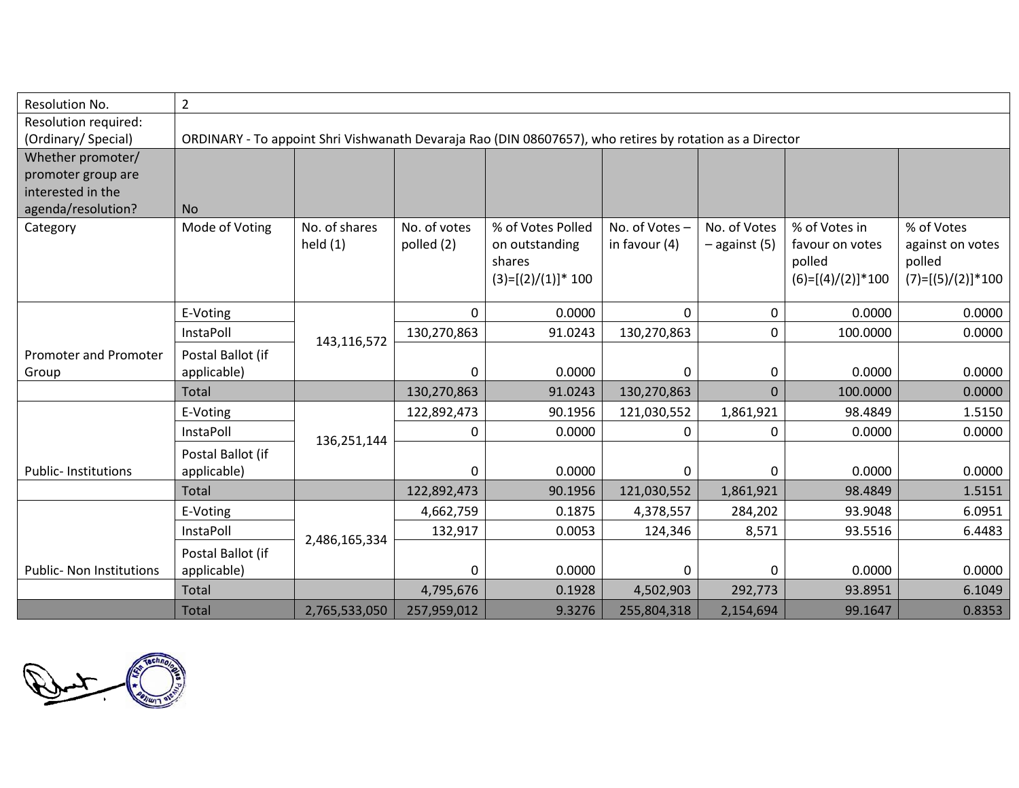| Resolution No.                  | $\overline{2}$                                                                                           |               |              |                          |               |                 |                           |                            |  |
|---------------------------------|----------------------------------------------------------------------------------------------------------|---------------|--------------|--------------------------|---------------|-----------------|---------------------------|----------------------------|--|
| Resolution required:            |                                                                                                          |               |              |                          |               |                 |                           |                            |  |
| (Ordinary/Special)              | ORDINARY - To appoint Shri Vishwanath Devaraja Rao (DIN 08607657), who retires by rotation as a Director |               |              |                          |               |                 |                           |                            |  |
| Whether promoter/               |                                                                                                          |               |              |                          |               |                 |                           |                            |  |
| promoter group are              |                                                                                                          |               |              |                          |               |                 |                           |                            |  |
| interested in the               |                                                                                                          |               |              |                          |               |                 |                           |                            |  |
| agenda/resolution?              | <b>No</b>                                                                                                |               |              |                          |               |                 |                           |                            |  |
| Category                        | Mode of Voting                                                                                           | No. of shares | No. of votes | % of Votes Polled        | No. of Votes- | No. of Votes    | % of Votes in             | % of Votes                 |  |
|                                 |                                                                                                          | held $(1)$    | polled (2)   | on outstanding<br>shares | in favour (4) | $-$ against (5) | favour on votes<br>polled | against on votes<br>polled |  |
|                                 |                                                                                                          |               |              | $(3)=[(2)/(1)]$ * 100    |               |                 | $(6)=[(4)/(2)]*100$       | $(7)=[(5)/(2)]*100$        |  |
|                                 |                                                                                                          |               |              |                          |               |                 |                           |                            |  |
|                                 | E-Voting                                                                                                 |               | 0            | 0.0000                   | $\Omega$      | 0               | 0.0000                    | 0.0000                     |  |
|                                 | InstaPoll                                                                                                | 143,116,572   | 130,270,863  | 91.0243                  | 130,270,863   | 0               | 100.0000                  | 0.0000                     |  |
| Promoter and Promoter           | Postal Ballot (if                                                                                        |               |              |                          |               |                 |                           |                            |  |
| Group                           | applicable)                                                                                              |               | $\pmb{0}$    | 0.0000                   | 0             | 0               | 0.0000                    | 0.0000                     |  |
|                                 | Total                                                                                                    |               | 130,270,863  | 91.0243                  | 130,270,863   | 0               | 100.0000                  | 0.0000                     |  |
|                                 | E-Voting                                                                                                 |               | 122,892,473  | 90.1956                  | 121,030,552   | 1,861,921       | 98.4849                   | 1.5150                     |  |
|                                 | InstaPoll                                                                                                | 136,251,144   | 0            | 0.0000                   | 0             | 0               | 0.0000                    | 0.0000                     |  |
|                                 | Postal Ballot (if                                                                                        |               |              |                          |               |                 |                           |                            |  |
| <b>Public-Institutions</b>      | applicable)                                                                                              |               | 0            | 0.0000                   | 0             | 0               | 0.0000                    | 0.0000                     |  |
|                                 | <b>Total</b>                                                                                             |               | 122,892,473  | 90.1956                  | 121,030,552   | 1,861,921       | 98.4849                   | 1.5151                     |  |
|                                 | E-Voting                                                                                                 |               | 4,662,759    | 0.1875                   | 4,378,557     | 284,202         | 93.9048                   | 6.0951                     |  |
|                                 | InstaPoll                                                                                                | 2,486,165,334 | 132,917      | 0.0053                   | 124,346       | 8,571           | 93.5516                   | 6.4483                     |  |
|                                 | Postal Ballot (if                                                                                        |               |              |                          |               |                 |                           |                            |  |
| <b>Public- Non Institutions</b> | applicable)                                                                                              |               | 0            | 0.0000                   | 0             | 0               | 0.0000                    | 0.0000                     |  |
|                                 | Total                                                                                                    |               | 4,795,676    | 0.1928                   | 4,502,903     | 292,773         | 93.8951                   | 6.1049                     |  |
|                                 | <b>Total</b>                                                                                             | 2,765,533,050 | 257,959,012  | 9.3276                   | 255,804,318   | 2,154,694       | 99.1647                   | 0.8353                     |  |

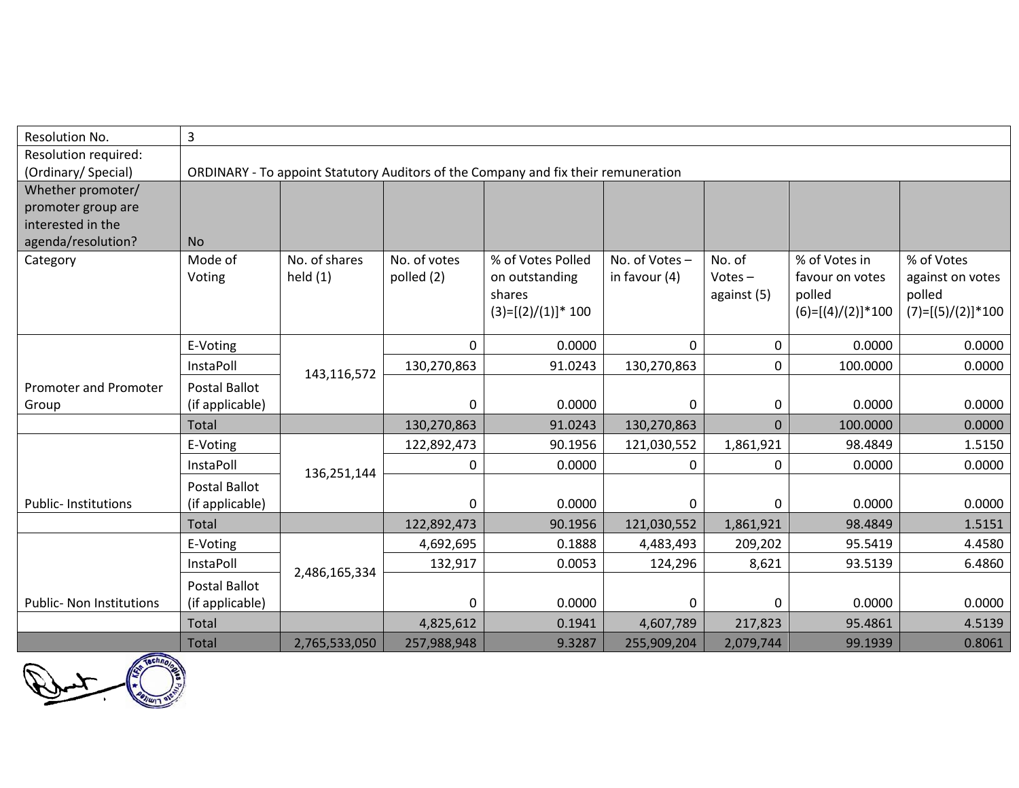| Resolution No.                          | 3                                                                                  |               |              |                       |               |             |                     |                     |  |
|-----------------------------------------|------------------------------------------------------------------------------------|---------------|--------------|-----------------------|---------------|-------------|---------------------|---------------------|--|
| Resolution required:                    |                                                                                    |               |              |                       |               |             |                     |                     |  |
| (Ordinary/Special)                      | ORDINARY - To appoint Statutory Auditors of the Company and fix their remuneration |               |              |                       |               |             |                     |                     |  |
| Whether promoter/                       |                                                                                    |               |              |                       |               |             |                     |                     |  |
| promoter group are                      |                                                                                    |               |              |                       |               |             |                     |                     |  |
| interested in the<br>agenda/resolution? | <b>No</b>                                                                          |               |              |                       |               |             |                     |                     |  |
| Category                                | Mode of                                                                            | No. of shares | No. of votes | % of Votes Polled     | No. of Votes- | No. of      | % of Votes in       | % of Votes          |  |
|                                         | Voting                                                                             | held $(1)$    | polled (2)   | on outstanding        | in favour (4) | $Votes -$   | favour on votes     | against on votes    |  |
|                                         |                                                                                    |               |              | shares                |               | against (5) | polled              | polled              |  |
|                                         |                                                                                    |               |              | $(3)=[(2)/(1)]$ * 100 |               |             | $(6)=[(4)/(2)]*100$ | $(7)=[(5)/(2)]*100$ |  |
|                                         |                                                                                    |               |              |                       |               |             |                     |                     |  |
|                                         | E-Voting                                                                           | 143,116,572   | $\mathbf{0}$ | 0.0000                | $\Omega$      | 0           | 0.0000              | 0.0000              |  |
|                                         | InstaPoll                                                                          |               | 130,270,863  | 91.0243               | 130,270,863   | 0           | 100.0000            | 0.0000              |  |
| <b>Promoter and Promoter</b>            | <b>Postal Ballot</b>                                                               |               |              |                       |               |             |                     |                     |  |
| Group                                   | (if applicable)                                                                    |               | 0            | 0.0000                | $\mathbf{0}$  | 0           | 0.0000              | 0.0000              |  |
|                                         | Total                                                                              |               | 130,270,863  | 91.0243               | 130,270,863   | $\mathbf 0$ | 100.0000            | 0.0000              |  |
|                                         | E-Voting                                                                           |               | 122,892,473  | 90.1956               | 121,030,552   | 1,861,921   | 98.4849             | 1.5150              |  |
|                                         | InstaPoll                                                                          | 136,251,144   | $\mathbf 0$  | 0.0000                | 0             | 0           | 0.0000              | 0.0000              |  |
|                                         | <b>Postal Ballot</b>                                                               |               |              |                       |               |             |                     |                     |  |
| Public- Institutions                    | (if applicable)                                                                    |               | 0            | 0.0000                | $\Omega$      | 0           | 0.0000              | 0.0000              |  |
|                                         | Total                                                                              |               | 122,892,473  | 90.1956               | 121,030,552   | 1,861,921   | 98.4849             | 1.5151              |  |
|                                         | E-Voting                                                                           |               | 4,692,695    | 0.1888                | 4,483,493     | 209,202     | 95.5419             | 4.4580              |  |
|                                         | InstaPoll                                                                          |               | 132,917      | 0.0053                | 124,296       | 8,621       | 93.5139             | 6.4860              |  |
|                                         | <b>Postal Ballot</b>                                                               | 2,486,165,334 |              |                       |               |             |                     |                     |  |
| <b>Public- Non Institutions</b>         | (if applicable)                                                                    |               | 0            | 0.0000                | 0             | 0           | 0.0000              | 0.0000              |  |
|                                         | Total                                                                              |               | 4,825,612    | 0.1941                | 4,607,789     | 217,823     | 95.4861             | 4.5139              |  |
|                                         | Total                                                                              | 2,765,533,050 | 257,988,948  | 9.3287                | 255,909,204   | 2,079,744   | 99.1939             | 0.8061              |  |